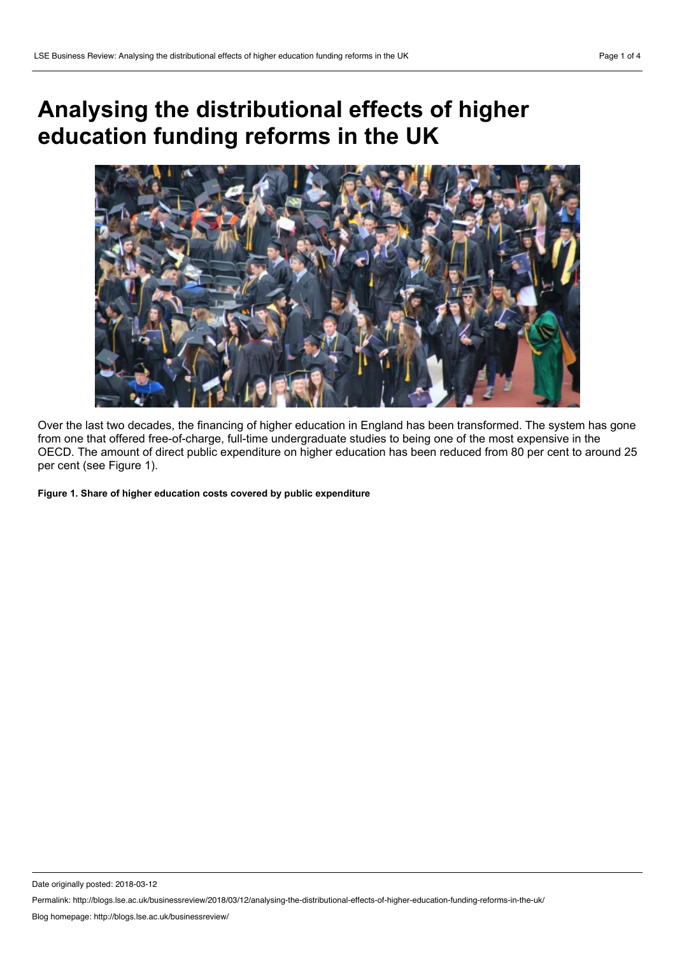## **Analysing the distributional effects of higher education funding reforms in the UK**



Over the last two decades, the financing of higher education in England has been transformed. The system has gone from one that offered free-of-charge, full-time undergraduate studies to being one of the most expensive in the OECD. The amount of direct public expenditure on higher education has been reduced from 80 per cent to around 25 per cent (see Figure 1).

**Figure 1. Share of higher education costs covered by public expenditure**

Date originally posted: 2018-03-12

Permalink: http://blogs.lse.ac.uk/businessreview/2018/03/12/analysing-the-distributional-effects-of-higher-education-funding-reforms-in-the-uk/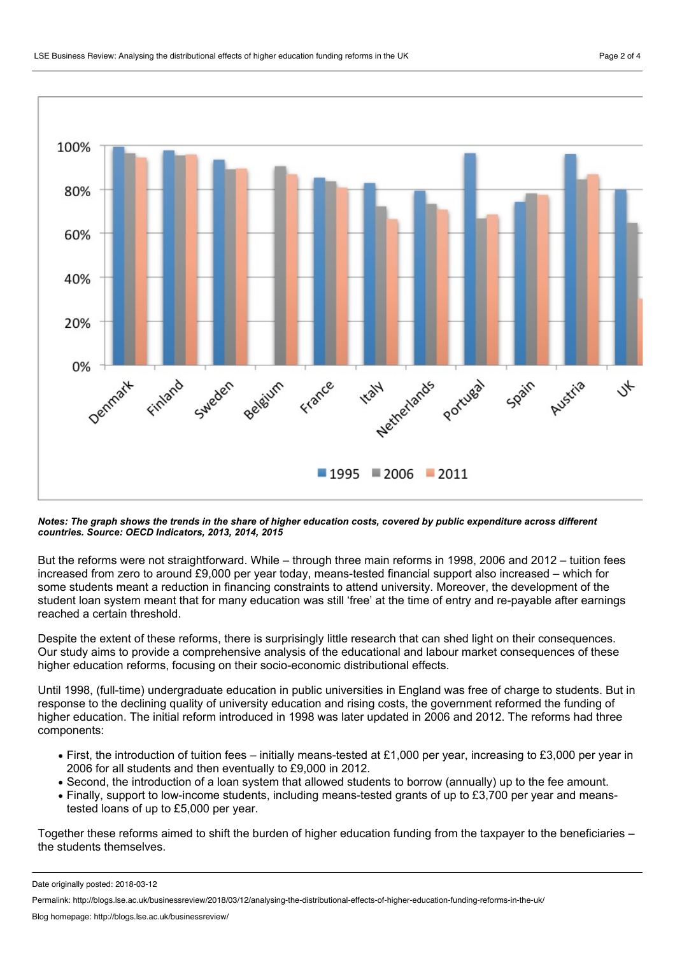

Notes: The graph shows the trends in the share of higher education costs, covered by public expenditure across different *countries. Source: OECD Indicators, 2013, 2014, 2015*

But the reforms were not straightforward. While – through three main reforms in 1998, 2006 and 2012 – tuition fees increased from zero to around £9,000 per year today, means-tested financial support also increased – which for some students meant a reduction in financing constraints to attend university. Moreover, the development of the student loan system meant that for many education was still 'free' at the time of entry and re-payable after earnings reached a certain threshold.

Despite the extent of these reforms, there is surprisingly little research that can shed light on their consequences. Our study aims to provide a comprehensive analysis of the educational and labour market consequences of these higher education reforms, focusing on their socio-economic distributional effects.

Until 1998, (full-time) undergraduate education in public universities in England was free of charge to students. But in response to the declining quality of university education and rising costs, the government reformed the funding of higher education. The initial reform introduced in 1998 was later updated in 2006 and 2012. The reforms had three components:

- First, the introduction of tuition fees initially means-tested at £1,000 per year, increasing to £3,000 per year in 2006 for all students and then eventually to £9,000 in 2012.
- Second, the introduction of a loan system that allowed students to borrow (annually) up to the fee amount.
- Finally, support to low-income students, including means-tested grants of up to £3,700 per year and meanstested loans of up to £5,000 per year.

Together these reforms aimed to shift the burden of higher education funding from the taxpayer to the beneficiaries – the students themselves.

Date originally posted: 2018-03-12

Permalink: http://blogs.lse.ac.uk/businessreview/2018/03/12/analysing-the-distributional-effects-of-higher-education-funding-reforms-in-the-uk/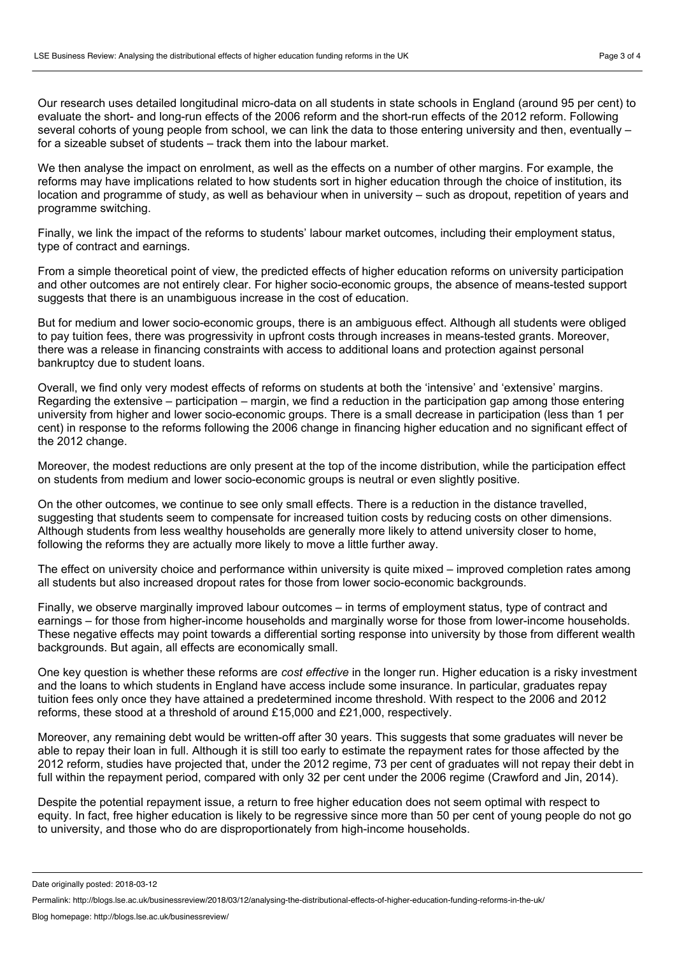Our research uses detailed longitudinal micro-data on all students in state schools in England (around 95 per cent) to evaluate the short- and long-run effects of the 2006 reform and the short-run effects of the 2012 reform. Following

several cohorts of young people from school, we can link the data to those entering university and then, eventually – for a sizeable subset of students – track them into the labour market.

We then analyse the impact on enrolment, as well as the effects on a number of other margins. For example, the reforms may have implications related to how students sort in higher education through the choice of institution, its location and programme of study, as well as behaviour when in university – such as dropout, repetition of years and programme switching.

Finally, we link the impact of the reforms to students' labour market outcomes, including their employment status, type of contract and earnings.

From a simple theoretical point of view, the predicted effects of higher education reforms on university participation and other outcomes are not entirely clear. For higher socio-economic groups, the absence of means-tested support suggests that there is an unambiguous increase in the cost of education.

But for medium and lower socio-economic groups, there is an ambiguous effect. Although all students were obliged to pay tuition fees, there was progressivity in upfront costs through increases in means-tested grants. Moreover, there was a release in financing constraints with access to additional loans and protection against personal bankruptcy due to student loans.

Overall, we find only very modest effects of reforms on students at both the 'intensive' and 'extensive' margins. Regarding the extensive – participation – margin, we find a reduction in the participation gap among those entering university from higher and lower socio-economic groups. There is a small decrease in participation (less than 1 per cent) in response to the reforms following the 2006 change in financing higher education and no significant effect of the 2012 change.

Moreover, the modest reductions are only present at the top of the income distribution, while the participation effect on students from medium andlower socio-economic groups is neutral or even slightly positive.

On the other outcomes, we continue to see only small effects. There is a reduction in the distance travelled, suggesting that students seem to compensate for increased tuition costs by reducing costs on other dimensions. Although students from less wealthy households are generally more likely to attend university closer to home, following the reforms they are actually more likely to move a little further away.

The effect on university choice and performance within university is quite mixed – improved completion rates among all students but also increased dropout rates for those from lower socio-economic backgrounds.

Finally, we observe marginally improved labour outcomes – in terms of employment status, type of contract and earnings – for those from higher-income households and marginally worse for those from lower-income households. These negative effects may point towards a differential sorting response into university by those from different wealth backgrounds. But again, all effects are economically small.

One key question is whether these reforms are *cost effective* in the longer run. Higher education is a risky investment and the loans to which students in England have access include some insurance. In particular, graduates repay tuition fees only once they have attained a predetermined income threshold. With respect to the 2006 and 2012 reforms, these stood at a threshold of around £15,000 and £21,000, respectively.

Moreover, any remaining debt would be written-off after 30 years. This suggests that some graduates will never be able to repay their loan in full. Although it is still too early to estimate the repayment rates for those affected by the 2012 reform, studies have projected that, under the 2012 regime, 73 per cent of graduates will not repay their debt in full within the repayment period, compared with only 32 per cent under the 2006 regime (Crawford and Jin, 2014).

Despite the potential repayment issue, a return to free higher education does not seem optimal with respect to equity. In fact, free higher education is likely to be regressive since more than 50 per cent of young people do not go to university, and those who do are disproportionately from high-income households.

Date originally posted: 2018-03-12

Permalink: http://blogs.lse.ac.uk/businessreview/2018/03/12/analysing-the-distributional-effects-of-higher-education-funding-reforms-in-the-uk/